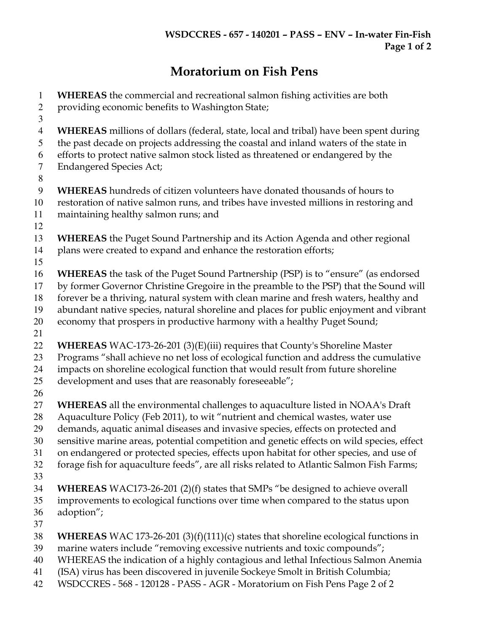## Moratorium on Fish Pens

| $\mathbf{1}$<br>$\overline{2}$                   | WHEREAS the commercial and recreational salmon fishing activities are both<br>providing economic benefits to Washington State;                                                                                                                                                                                                                                                                                                                                                                                                                |
|--------------------------------------------------|-----------------------------------------------------------------------------------------------------------------------------------------------------------------------------------------------------------------------------------------------------------------------------------------------------------------------------------------------------------------------------------------------------------------------------------------------------------------------------------------------------------------------------------------------|
| 3<br>$\overline{4}$<br>5<br>6<br>$\tau$<br>$8\,$ | WHEREAS millions of dollars (federal, state, local and tribal) have been spent during<br>the past decade on projects addressing the coastal and inland waters of the state in<br>efforts to protect native salmon stock listed as threatened or endangered by the<br><b>Endangered Species Act;</b>                                                                                                                                                                                                                                           |
| $\boldsymbol{9}$<br>10<br>11<br>12               | WHEREAS hundreds of citizen volunteers have donated thousands of hours to<br>restoration of native salmon runs, and tribes have invested millions in restoring and<br>maintaining healthy salmon runs; and                                                                                                                                                                                                                                                                                                                                    |
| 13<br>14<br>15                                   | WHEREAS the Puget Sound Partnership and its Action Agenda and other regional<br>plans were created to expand and enhance the restoration efforts;                                                                                                                                                                                                                                                                                                                                                                                             |
| 16<br>17<br>18<br>19<br>20<br>21                 | WHEREAS the task of the Puget Sound Partnership (PSP) is to "ensure" (as endorsed<br>by former Governor Christine Gregoire in the preamble to the PSP) that the Sound will<br>forever be a thriving, natural system with clean marine and fresh waters, healthy and<br>abundant native species, natural shoreline and places for public enjoyment and vibrant<br>economy that prospers in productive harmony with a healthy Puget Sound;                                                                                                      |
| 22<br>23<br>24<br>25                             | WHEREAS WAC-173-26-201 (3)(E)(iii) requires that County's Shoreline Master<br>Programs "shall achieve no net loss of ecological function and address the cumulative<br>impacts on shoreline ecological function that would result from future shoreline<br>development and uses that are reasonably foreseeable";                                                                                                                                                                                                                             |
| 26<br>27<br>28<br>29<br>30<br>31<br>32<br>33     | <b>WHEREAS</b> all the environmental challenges to aquaculture listed in NOAA's Draft<br>Aquaculture Policy (Feb 2011), to wit "nutrient and chemical wastes, water use<br>demands, aquatic animal diseases and invasive species, effects on protected and<br>sensitive marine areas, potential competition and genetic effects on wild species, effect<br>on endangered or protected species, effects upon habitat for other species, and use of<br>forage fish for aquaculture feeds", are all risks related to Atlantic Salmon Fish Farms; |
| 34<br>35<br>36<br>37                             | <b>WHEREAS</b> WAC173-26-201 (2)(f) states that SMPs "be designed to achieve overall<br>improvements to ecological functions over time when compared to the status upon<br>adoption";                                                                                                                                                                                                                                                                                                                                                         |
| 38<br>39<br>40<br>41<br>42                       | <b>WHEREAS</b> WAC 173-26-201 $(3)(f)(111)(c)$ states that shoreline ecological functions in<br>marine waters include "removing excessive nutrients and toxic compounds";<br>WHEREAS the indication of a highly contagious and lethal Infectious Salmon Anemia<br>(ISA) virus has been discovered in juvenile Sockeye Smolt in British Columbia;<br>WSDCCRES - 568 - 120128 - PASS - AGR - Moratorium on Fish Pens Page 2 of 2                                                                                                                |